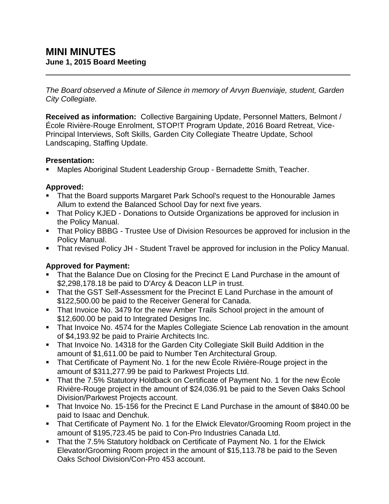*The Board observed a Minute of Silence in memory of Arvyn Buenviaje, student, Garden City Collegiate.*

**Received as information:** Collective Bargaining Update, Personnel Matters, Belmont / École Rivière-Rouge Enrolment, STOP!T Program Update, 2016 Board Retreat, Vice-Principal Interviews, Soft Skills, Garden City Collegiate Theatre Update, School Landscaping, Staffing Update.

## **Presentation:**

Maples Aboriginal Student Leadership Group - Bernadette Smith, Teacher.

# **Approved:**

- That the Board supports Margaret Park School's request to the Honourable James Allum to extend the Balanced School Day for next five years.
- That Policy KJED Donations to Outside Organizations be approved for inclusion in the Policy Manual.
- **That Policy BBBG Trustee Use of Division Resources be approved for inclusion in the** Policy Manual.
- That revised Policy JH Student Travel be approved for inclusion in the Policy Manual.

# **Approved for Payment:**

- That the Balance Due on Closing for the Precinct E Land Purchase in the amount of \$2,298,178.18 be paid to D'Arcy & Deacon LLP in trust.
- That the GST Self-Assessment for the Precinct E Land Purchase in the amount of \$122,500.00 be paid to the Receiver General for Canada.
- That Invoice No. 3479 for the new Amber Trails School project in the amount of \$12,600.00 be paid to Integrated Designs Inc.
- That Invoice No. 4574 for the Maples Collegiate Science Lab renovation in the amount of \$4,193.92 be paid to Prairie Architects Inc.
- That Invoice No. 14318 for the Garden City Collegiate Skill Build Addition in the amount of \$1,611.00 be paid to Number Ten Architectural Group.
- That Certificate of Payment No. 1 for the new École Rivière-Rouge project in the amount of \$311,277.99 be paid to Parkwest Projects Ltd.
- That the 7.5% Statutory Holdback on Certificate of Payment No. 1 for the new École Rivière-Rouge project in the amount of \$24,036.91 be paid to the Seven Oaks School Division/Parkwest Projects account.
- That Invoice No. 15-156 for the Precinct E Land Purchase in the amount of \$840.00 be paid to Isaac and Denchuk.
- **That Certificate of Payment No. 1 for the Elwick Elevator/Grooming Room project in the** amount of \$195,723.45 be paid to Con-Pro Industries Canada Ltd.
- **That the 7.5% Statutory holdback on Certificate of Payment No. 1 for the Elwick** Elevator/Grooming Room project in the amount of \$15,113.78 be paid to the Seven Oaks School Division/Con-Pro 453 account.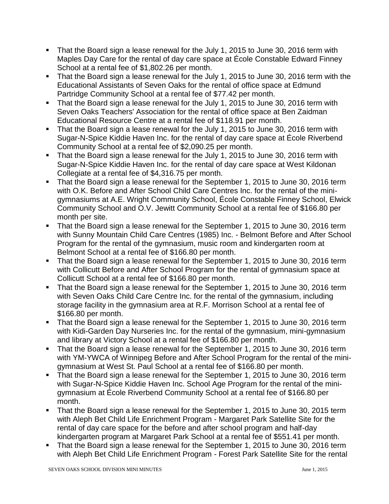- That the Board sign a lease renewal for the July 1, 2015 to June 30, 2016 term with Maples Day Care for the rental of day care space at École Constable Edward Finney School at a rental fee of \$1,802.26 per month.
- That the Board sign a lease renewal for the July 1, 2015 to June 30, 2016 term with the Educational Assistants of Seven Oaks for the rental of office space at Edmund Partridge Community School at a rental fee of \$77.42 per month.
- That the Board sign a lease renewal for the July 1, 2015 to June 30, 2016 term with Seven Oaks Teachers' Association for the rental of office space at Ben Zaidman Educational Resource Centre at a rental fee of \$118.91 per month.
- That the Board sign a lease renewal for the July 1, 2015 to June 30, 2016 term with Sugar-N-Spice Kiddie Haven Inc. for the rental of day care space at École Riverbend Community School at a rental fee of \$2,090.25 per month.
- That the Board sign a lease renewal for the July 1, 2015 to June 30, 2016 term with Sugar-N-Spice Kiddie Haven Inc. for the rental of day care space at West Kildonan Collegiate at a rental fee of \$4,316.75 per month.
- That the Board sign a lease renewal for the September 1, 2015 to June 30, 2016 term with O.K. Before and After School Child Care Centres Inc. for the rental of the minigymnasiums at A.E. Wright Community School, École Constable Finney School, Elwick Community School and O.V. Jewitt Community School at a rental fee of \$166.80 per month per site.
- That the Board sign a lease renewal for the September 1, 2015 to June 30, 2016 term with Sunny Mountain Child Care Centres (1985) Inc. - Belmont Before and After School Program for the rental of the gymnasium, music room and kindergarten room at Belmont School at a rental fee of \$166.80 per month.
- That the Board sign a lease renewal for the September 1, 2015 to June 30, 2016 term with Collicutt Before and After School Program for the rental of gymnasium space at Collicutt School at a rental fee of \$166.80 per month.
- That the Board sign a lease renewal for the September 1, 2015 to June 30, 2016 term with Seven Oaks Child Care Centre Inc. for the rental of the gymnasium, including storage facility in the gymnasium area at R.F. Morrison School at a rental fee of \$166.80 per month.
- That the Board sign a lease renewal for the September 1, 2015 to June 30, 2016 term with Kidi-Garden Day Nurseries Inc. for the rental of the gymnasium, mini-gymnasium and library at Victory School at a rental fee of \$166.80 per month.
- That the Board sign a lease renewal for the September 1, 2015 to June 30, 2016 term with YM-YWCA of Winnipeg Before and After School Program for the rental of the minigymnasium at West St. Paul School at a rental fee of \$166.80 per month.
- That the Board sign a lease renewal for the September 1, 2015 to June 30, 2016 term with Sugar-N-Spice Kiddie Haven Inc. School Age Program for the rental of the minigymnasium at École Riverbend Community School at a rental fee of \$166.80 per month.
- That the Board sign a lease renewal for the September 1, 2015 to June 30, 2015 term with Aleph Bet Child Life Enrichment Program - Margaret Park Satellite Site for the rental of day care space for the before and after school program and half-day kindergarten program at Margaret Park School at a rental fee of \$551.41 per month.
- That the Board sign a lease renewal for the September 1, 2015 to June 30, 2016 term with Aleph Bet Child Life Enrichment Program - Forest Park Satellite Site for the rental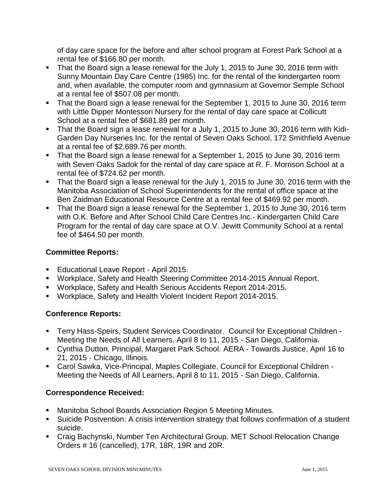of day care space for the before and after school program at Forest Park School at a rental fee of \$166.80 per month.

- That the Board sign a lease renewal for the July 1, 2015 to June 30, 2016 term with Sunny Mountain Day Care Centre (1985) Inc. for the rental of the kindergarten room and, when available, the computer room and gymnasium at Governor Semple School at a rental fee of \$507.08 per month.
- That the Board sign a lease renewal for the September 1, 2015 to June 30, 2016 term with Little Dipper Montessori Nursery for the rental of day care space at Collicutt School at a rental fee of \$681.89 per month.
- That the Board sign a lease renewal for a July 1, 2015 to June 30, 2016 term with Kidi-Garden Day Nurseries Inc. for the rental of Seven Oaks School, 172 Smithfield Avenue at a rental fee of \$2,689.76 per month.
- That the Board sign a lease renewal for a September 1, 2015 to June 30, 2016 term with Seven Oaks Sadok for the rental of day care space at R. F. Morrison School at a rental fee of \$724.62 per month.
- That the Board sign a lease renewal for the July 1, 2015 to June 30, 2016 term with the Manitoba Association of School Superintendents for the rental of office space at the Ben Zaidman Educational Resource Centre at a rental fee of \$469.92 per month.
- That the Board sign a lease renewal for the September 1, 2015 to June 30, 2016 term with O.K. Before and After School Child Care Centres Inc.- Kindergarten Child Care Program for the rental of day care space at O.V. Jewitt Community School at a rental fee of \$464.50 per month.

# **Committee Reports:**

- **Educational Leave Report April 2015.**
- Workplace, Safety and Health Steering Committee 2014-2015 Annual Report.
- Workplace, Safety and Health Serious Accidents Report 2014-2015.
- Workplace, Safety and Health Violent Incident Report 2014-2015.

## **Conference Reports:**

- Terry Hass-Speirs, Student Services Coordinator. Council for Exceptional Children Meeting the Needs of All Learners, April 8 to 11, 2015 - San Diego, California.
- Cynthia Dutton, Principal, Margaret Park School. AERA Towards Justice, April 16 to 21, 2015 - Chicago, Illinois.
- Carol Sawka, Vice-Principal, Maples Collegiate. Council for Exceptional Children Meeting the Needs of All Learners, April 8 to 11, 2015 - San Diego, California.

## **Correspondence Received:**

- Manitoba School Boards Association Region 5 Meeting Minutes.
- Suicide Postvention: A crisis intervention strategy that follows confirmation of a student suicide.
- Craig Bachynski, Number Ten Architectural Group. MET School Relocation Change Orders # 16 (cancelled), 17R, 18R, 19R and 20R.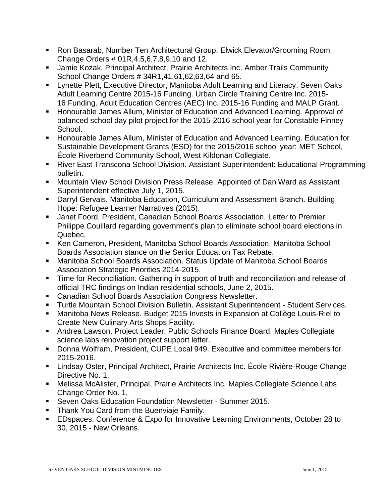- Ron Basarab, Number Ten Architectural Group. Elwick Elevator/Grooming Room Change Orders # 01R,4,5,6,7,8,9,10 and 12.
- Jamie Kozak, Principal Architect, Prairie Architects Inc. Amber Trails Community School Change Orders # 34R1,41,61,62,63,64 and 65.
- Lynette Plett, Executive Director, Manitoba Adult Learning and Literacy. Seven Oaks Adult Learning Centre 2015-16 Funding. Urban Circle Training Centre Inc. 2015- 16 Funding. Adult Education Centres (AEC) Inc. 2015-16 Funding and MALP Grant.
- **Honourable James Allum, Minister of Education and Advanced Learning. Approval of** balanced school day pilot project for the 2015-2016 school year for Constable Finney School.
- **Honourable James Allum, Minister of Education and Advanced Learning. Education for** Sustainable Development Grants (ESD) for the 2015/2016 school year: MET School, École Riverbend Community School, West Kildonan Collegiate.
- River East Transcona School Division. Assistant Superintendent: Educational Programming bulletin.
- **Mountain View School Division Press Release. Appointed of Dan Ward as Assistant** Superintendent effective July 1, 2015.
- Darryl Gervais, Manitoba Education, Curriculum and Assessment Branch. Building Hope: Refugee Learner Narratives (2015).
- Janet Foord, President, Canadian School Boards Association. Letter to Premier Philippe Couillard regarding government's plan to eliminate school board elections in Quebec.
- Ken Cameron, President, Manitoba School Boards Association. Manitoba School Boards Association stance on the Senior Education Tax Rebate.
- Manitoba School Boards Association. Status Update of Manitoba School Boards Association Strategic Priorities 2014-2015.
- **Time for Reconciliation. Gathering in support of truth and reconciliation and release of** official TRC findings on Indian residential schools, June 2, 2015.
- **EXEC** Canadian School Boards Association Congress Newsletter.
- Turtle Mountain School Division Bulletin. Assistant Superintendent Student Services.
- Manitoba News Release. Budget 2015 Invests in Expansion at Collège Louis-Riel to Create New Culinary Arts Shops Facility.
- Andrea Lawson, Project Leader, Public Schools Finance Board. Maples Collegiate science labs renovation project support letter.
- Donna Wolfram, President, CUPE Local 949. Executive and committee members for 2015-2016.
- Lindsay Oster, Principal Architect, Prairie Architects Inc. École Rivière-Rouge Change Directive No. 1.
- Melissa McAlister, Principal, Prairie Architects Inc. Maples Collegiate Science Labs Change Order No. 1.
- Seven Oaks Education Foundation Newsletter Summer 2015.
- **Thank You Card from the Buenviaje Family.**
- EDspaces. Conference & Expo for Innovative Learning Environments, October 28 to 30, 2015 - New Orleans.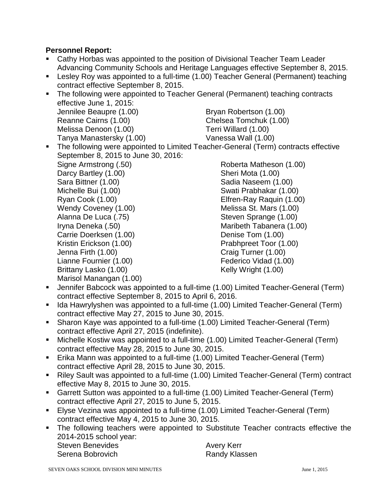## **Personnel Report:**

- Cathy Horbas was appointed to the position of Divisional Teacher Team Leader Advancing Community Schools and Heritage Languages effective September 8, 2015.
- **EXT** Lesley Roy was appointed to a full-time (1.00) Teacher General (Permanent) teaching contract effective September 8, 2015.
- **The following were appointed to Teacher General (Permanent) teaching contracts** effective June 1, 2015: Jennilee Beaupre (1.00) Bryan Robertson (1.00) Reanne Cairns (1.00) Chelsea Tomchuk (1.00) Melissa Denoon (1.00) Terri Willard (1.00) Tanya Manastersky (1.00) Vanessa Wall (1.00)
- The following were appointed to Limited Teacher-General (Term) contracts effective September 8, 2015 to June 30, 2016: Signe Armstrong (.50) Darcy Bartley (1.00) Sara Bittner (1.00) Michelle Bui (1.00) Ryan Cook (1.00) Wendy Coveney (1.00) Alanna De Luca (.75) Iryna Deneka (.50) Carrie Doerksen (1.00) Kristin Erickson (1.00) Jenna Firth (1.00) Lianne Fournier (1.00) Brittany Lasko (1.00) Marisol Manangan (1.00) Roberta Matheson (1.00) Sheri Mota (1.00) Sadia Naseem (1.00) Swati Prabhakar (1.00) Elfren-Ray Raquin (1.00) Melissa St. Mars (1.00) Steven Sprange (1.00) Maribeth Tabanera (1.00) Denise Tom (1.00) Prabhpreet Toor (1.00) Craig Turner (1.00) Federico Vidad (1.00) Kelly Wright (1.00)
- Jennifer Babcock was appointed to a full-time (1.00) Limited Teacher-General (Term) contract effective September 8, 2015 to April 6, 2016.
- Ida Hawrylyshen was appointed to a full-time (1.00) Limited Teacher-General (Term) contract effective May 27, 2015 to June 30, 2015.
- Sharon Kaye was appointed to a full-time (1.00) Limited Teacher-General (Term) contract effective April 27, 2015 (indefinite).
- Michelle Kostiw was appointed to a full-time (1.00) Limited Teacher-General (Term) contract effective May 28, 2015 to June 30, 2015.
- Erika Mann was appointed to a full-time (1.00) Limited Teacher-General (Term) contract effective April 28, 2015 to June 30, 2015.
- Riley Sault was appointed to a full-time (1.00) Limited Teacher-General (Term) contract effective May 8, 2015 to June 30, 2015.
- Garrett Sutton was appointed to a full-time (1.00) Limited Teacher-General (Term) contract effective April 27, 2015 to June 5, 2015.
- Elyse Vezina was appointed to a full-time (1.00) Limited Teacher-General (Term) contract effective May 4, 2015 to June 30, 2015.
- The following teachers were appointed to Substitute Teacher contracts effective the 2014-2015 school year: Steven Benevides **Avery Kerr**

Serena Bobrovich **Randy Klassen**